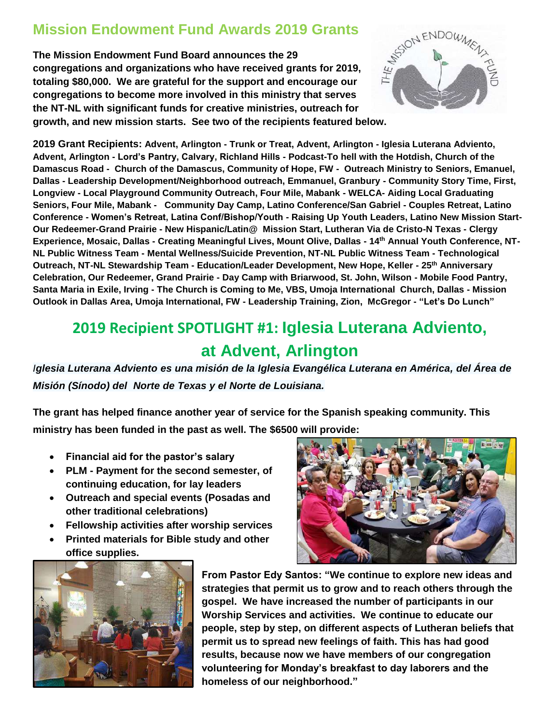## **Mission Endowment Fund Awards 2019 Grants**

**The Mission Endowment Fund Board announces the 29 congregations and organizations who have received grants for 2019, totaling \$80,000. We are grateful for the support and encourage our congregations to become more involved in this ministry that serves the NT-NL with significant funds for creative ministries, outreach for growth, and new mission starts. See two of the recipients featured below.**



**2019 Grant Recipients: Advent, Arlington - Trunk or Treat, Advent, Arlington - Iglesia Luterana Adviento, Advent, Arlington - Lord's Pantry, Calvary, Richland Hills - Podcast-To hell with the Hotdish, Church of the Damascus Road - Church of the Damascus, Community of Hope, FW - Outreach Ministry to Seniors, Emanuel, Dallas - Leadership Development/Neighborhood outreach, Emmanuel, Granbury - Community Story Time, First, Longview - Local Playground Community Outreach, Four Mile, Mabank - WELCA- Aiding Local Graduating Seniors, Four Mile, Mabank - Community Day Camp, Latino Conference/San Gabriel - Couples Retreat, Latino Conference - Women's Retreat, Latina Conf/Bishop/Youth - Raising Up Youth Leaders, Latino New Mission Start-Our Redeemer-Grand Prairie - New Hispanic/Latin@ Mission Start, Lutheran Via de Cristo-N Texas - Clergy Experience, Mosaic, Dallas - Creating Meaningful Lives, Mount Olive, Dallas - 14th Annual Youth Conference, NT-NL Public Witness Team - Mental Wellness/Suicide Prevention, NT-NL Public Witness Team - Technological Outreach, NT-NL Stewardship Team - Education/Leader Development, New Hope, Keller - 25th Anniversary Celebration, Our Redeemer, Grand Prairie - Day Camp with Briarwood, St. John, Wilson - Mobile Food Pantry, Santa Maria in Exile, Irving - The Church is Coming to Me, VBS, Umoja International Church, Dallas - Mission Outlook in Dallas Area, Umoja International, FW - Leadership Training, Zion, McGregor - "Let's Do Lunch"**

## **2019 Recipient SPOTLIGHT #1: Iglesia Luterana Adviento, at Advent, Arlington**

*Iglesia Luterana Adviento es una misión de la [Iglesia Evangélica Luterana en América,](http://www.elca.org/) [del Área de](http://ntnl.org/)  [Misión \(Sínodo\) del Norte de Texas y el Norte de Louisiana.](http://ntnl.org/)*

**The grant has helped finance another year of service for the Spanish speaking community. This ministry has been funded in the past as well. The \$6500 will provide:**

- **Financial aid for the pastor's salary**
- **PLM - Payment for the second semester, of continuing education, for lay leaders**
- **Outreach and special events (Posadas and other traditional celebrations)**
- **Fellowship activities after worship services**
- **Printed materials for Bible study and other office supplies.**



**From Pastor Edy Santos: "We continue to explore new ideas and strategies that permit us to grow and to reach others through the gospel. We have increased the number of participants in our Worship Services and activities. We continue to educate our people, step by step, on different aspects of Lutheran beliefs that permit us to spread new feelings of faith. This has had good results, because now we have members of our congregation volunteering for Monday's breakfast to day laborers and the homeless of our neighborhood."**